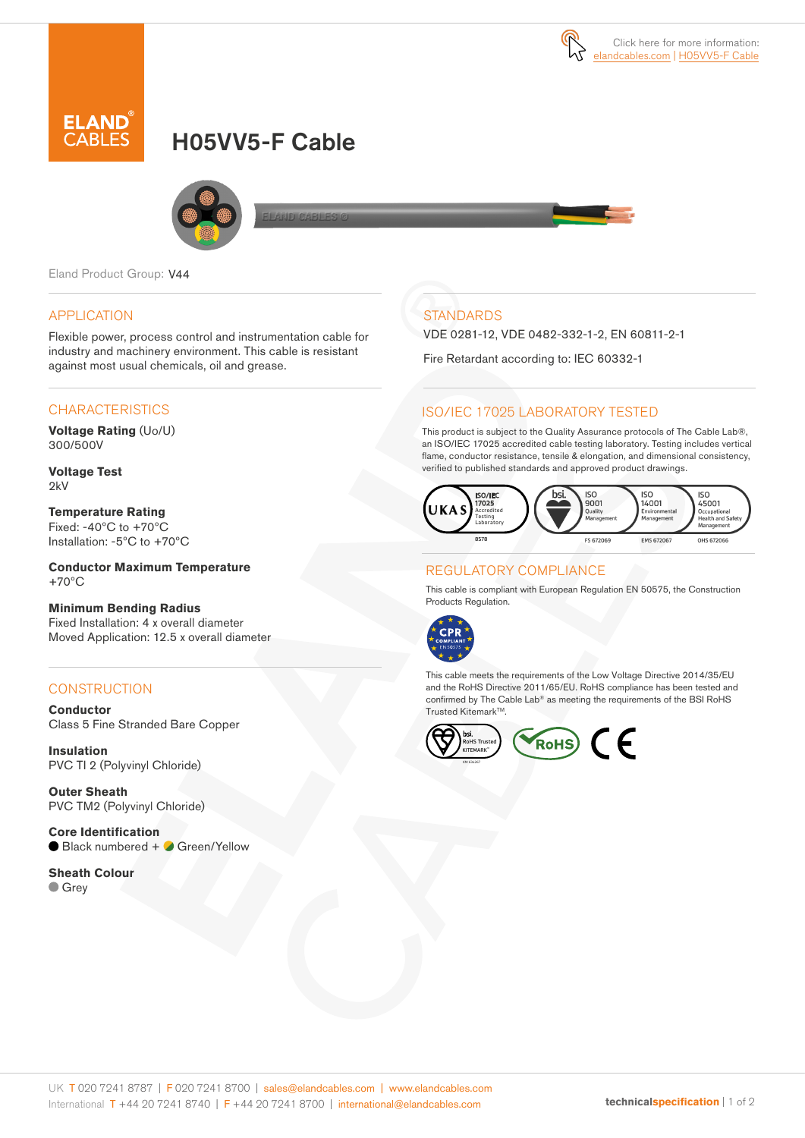

# H05VV5-F Cable



Eland Product Group: V44

#### APPLICATION

Flexible power, process control and instrumentation cable for industry and machinery environment. This cable is resistant against most usual chemicals, oil and grease.

#### **CHARACTERISTICS**

**Voltage Rating** (Uo/U) 300/500V

**Voltage Test** 2kV

**Temperature Rating** Fixed: -40ºC to +70ºC Installation: -5ºC to +70ºC

**Conductor Maximum Temperature** +70ºC

#### **Minimum Bending Radius**  Fixed Installation: 4 x overall diameter

Moved Application: 12.5 x overall diameter

### **CONSTRUCTION**

**Conductor** Class 5 Fine Stranded Bare Copper

**Insulation** PVC TI 2 (Polyvinyl Chloride)

**Outer Sheath** PVC TM2 (Polyvinyl Chloride)

**Core Identification** ● Black numbered + ● Green/Yellow

**Sheath Colour Grey** 

# **STANDARDS**

VDE 0281-12, VDE 0482-332-1-2, EN 60811-2-1

Fire Retardant according to: IEC 60332-1

#### ISO/IEC 17025 LABORATORY TESTED

This product is subject to the Quality Assurance protocols of The Cable Lab®, an ISO/IEC 17025 accredited cable testing laboratory. Testing includes vertical flame, conductor resistance, tensile & elongation, and dimensional consistency, verified to published standards and approved product drawings.



#### REGULATORY COMPLIANCE

This cable is compliant with European Regulation EN 50575, the Construction Products Regulation.



This cable meets the requirements of the Low Voltage Directive 2014/35/EU and the RoHS Directive 2011/65/EU. RoHS compliance has been tested and confirmed by The Cable Lab® as meeting the requirements of the BSI RoHS Trusted Kitemark™.